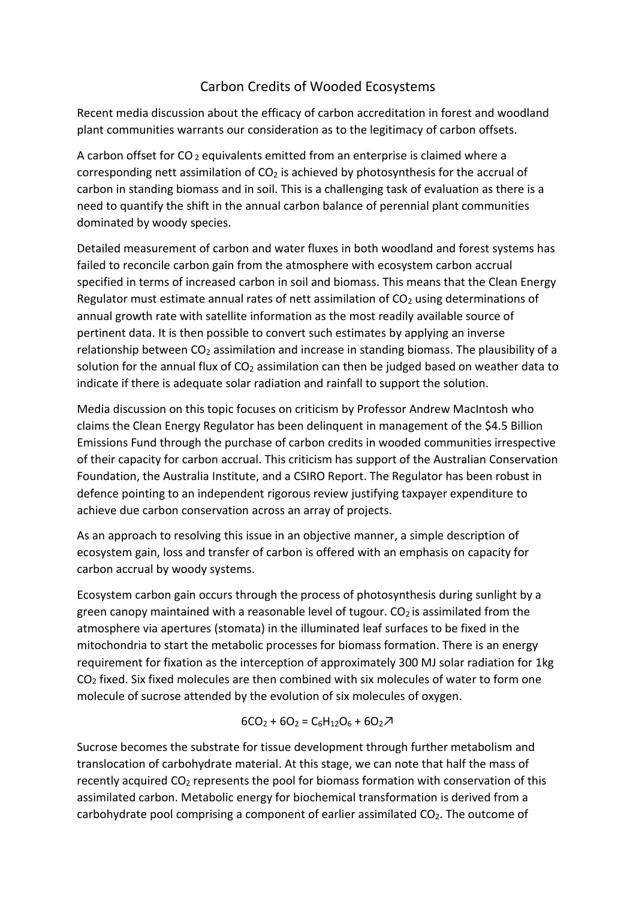## Carbon Credits of Wooded Ecosystems

Recent media discussion about the efficacy of carbon accreditation in forest and woodland plant communities warrants our consideration as to the legitimacy of carbon offsets.

A carbon offset for  $CO<sub>2</sub>$  equivalents emitted from an enterprise is claimed where a corresponding nett assimilation of  $CO<sub>2</sub>$  is achieved by photosynthesis for the accrual of carbon in standing biomass and in soil. This is a challenging task of evaluation as there is a need to quantify the shift in the annual carbon balance of perennial plant communities dominated by woody species.

Detailed measurement of carbon and water fluxes in both woodland and forest systems has failed to reconcile carbon gain from the atmosphere with ecosystem carbon accrual specified in terms of increased carbon in soil and biomass. This means that the Clean Energy Regulator must estimate annual rates of nett assimilation of  $CO<sub>2</sub>$  using determinations of annual growth rate with satellite information as the most readily available source of pertinent data. It is then possible to convert such estimates by applying an inverse relationship between CO<sub>2</sub> assimilation and increase in standing biomass. The plausibility of a solution for the annual flux of  $CO<sub>2</sub>$  assimilation can then be judged based on weather data to indicate if there is adequate solar radiation and rainfall to support the solution.

Media discussion on this topic focuses on criticism by Professor Andrew MacIntosh who claims the Clean Energy Regulator has been delinquent in management of the \$4.5 Billion Emissions Fund through the purchase of carbon credits in wooded communities irrespective of their capacity for carbon accrual. This criticism has support of the Australian Conservation Foundation, the Australia Institute, and a CSIRO Report. The Regulator has been robust in defence pointing to an independent rigorous review justifying taxpayer expenditure to achieve due carbon conservation across an array of projects.

As an approach to resolving this issue in an objective manner, a simple description of ecosystem gain, loss and transfer of carbon is offered with an emphasis on capacity for carbon accrual by woody systems.

Ecosystem carbon gain occurs through the process of photosynthesis during sunlight by a green canopy maintained with a reasonable level of tugour.  $CO<sub>2</sub>$  is assimilated from the atmosphere via apertures (stomata) in the illuminated leaf surfaces to be fixed in the mitochondria to start the metabolic processes for biomass formation. There is an energy requirement for fixation as the interception of approximately 300 MJ solar radiation for 1kg  $CO<sub>2</sub>$  fixed. Six fixed molecules are then combined with six molecules of water to form one molecule of sucrose attended by the evolution of six molecules of oxygen.

$$
6CO_2 + 6O_2 = C_6H_{12}O_6 + 6O_2 \mathcal{Z}
$$

Sucrose becomes the substrate for tissue development through further metabolism and translocation of carbohydrate material. At this stage, we can note that half the mass of recently acquired CO<sub>2</sub> represents the pool for biomass formation with conservation of this assimilated carbon. Metabolic energy for biochemical transformation is derived from a carbohydrate pool comprising a component of earlier assimilated  $CO<sub>2</sub>$ . The outcome of